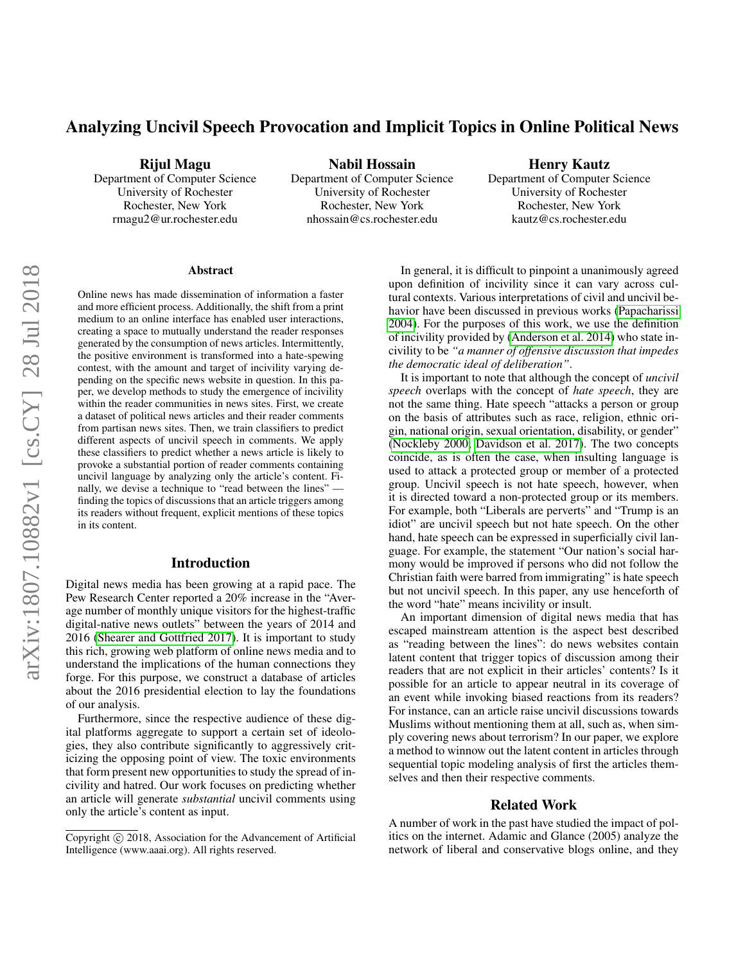# Analyzing Uncivil Speech Provocation and Implicit Topics in Online Political News

Rijul Magu

Department of Computer Science University of Rochester Rochester, New York rmagu2@ur.rochester.edu

Nabil Hossain Department of Computer Science University of Rochester Rochester, New York nhossain@cs.rochester.edu

Henry Kautz Department of Computer Science University of Rochester Rochester, New York kautz@cs.rochester.edu

### Abstract

Online news has made dissemination of information a faster and more efficient process. Additionally, the shift from a print medium to an online interface has enabled user interactions, creating a space to mutually understand the reader responses generated by the consumption of news articles. Intermittently, the positive environment is transformed into a hate-spewing contest, with the amount and target of incivility varying depending on the specific news website in question. In this paper, we develop methods to study the emergence of incivility within the reader communities in news sites. First, we create a dataset of political news articles and their reader comments from partisan news sites. Then, we train classifiers to predict different aspects of uncivil speech in comments. We apply these classifiers to predict whether a news article is likely to provoke a substantial portion of reader comments containing uncivil language by analyzing only the article's content. Finally, we devise a technique to "read between the lines" finding the topics of discussions that an article triggers among its readers without frequent, explicit mentions of these topics in its content.

### Introduction

Digital news media has been growing at a rapid pace. The Pew Research Center reported a 20% increase in the "Average number of monthly unique visitors for the highest-traffic digital-native news outlets" between the years of 2014 and 2016 [\(Shearer and Gottfried 2017\)](#page-4-0). It is important to study this rich, growing web platform of online news media and to understand the implications of the human connections they forge. For this purpose, we construct a database of articles about the 2016 presidential election to lay the foundations of our analysis.

Furthermore, since the respective audience of these digital platforms aggregate to support a certain set of ideologies, they also contribute significantly to aggressively criticizing the opposing point of view. The toxic environments that form present new opportunities to study the spread of incivility and hatred. Our work focuses on predicting whether an article will generate *substantial* uncivil comments using only the article's content as input.

In general, it is difficult to pinpoint a unanimously agreed upon definition of incivility since it can vary across cultural contexts. Various interpretations of civil and uncivil behavior have been discussed in previous works [\(Papacharissi](#page-4-1) [2004\)](#page-4-1). For the purposes of this work, we use the definition of incivility provided by [\(Anderson et al. 2014\)](#page-3-0) who state incivility to be *"a manner of offensive discussion that impedes the democratic ideal of deliberation"*.

It is important to note that although the concept of *uncivil speech* overlaps with the concept of *hate speech*, they are not the same thing. Hate speech "attacks a person or group on the basis of attributes such as race, religion, ethnic origin, national origin, sexual orientation, disability, or gender" [\(Nockleby 2000;](#page-4-2) [Davidson et al. 2017\)](#page-4-3). The two concepts coincide, as is often the case, when insulting language is used to attack a protected group or member of a protected group. Uncivil speech is not hate speech, however, when it is directed toward a non-protected group or its members. For example, both "Liberals are perverts" and "Trump is an idiot" are uncivil speech but not hate speech. On the other hand, hate speech can be expressed in superficially civil language. For example, the statement "Our nation's social harmony would be improved if persons who did not follow the Christian faith were barred from immigrating" is hate speech but not uncivil speech. In this paper, any use henceforth of the word "hate" means incivility or insult.

An important dimension of digital news media that has escaped mainstream attention is the aspect best described as "reading between the lines": do news websites contain latent content that trigger topics of discussion among their readers that are not explicit in their articles' contents? Is it possible for an article to appear neutral in its coverage of an event while invoking biased reactions from its readers? For instance, can an article raise uncivil discussions towards Muslims without mentioning them at all, such as, when simply covering news about terrorism? In our paper, we explore a method to winnow out the latent content in articles through sequential topic modeling analysis of first the articles themselves and then their respective comments.

### Related Work

A number of work in the past have studied the impact of politics on the internet. Adamic and Glance (2005) analyze the network of liberal and conservative blogs online, and they

Copyright  $\odot$  2018, Association for the Advancement of Artificial Intelligence (www.aaai.org). All rights reserved.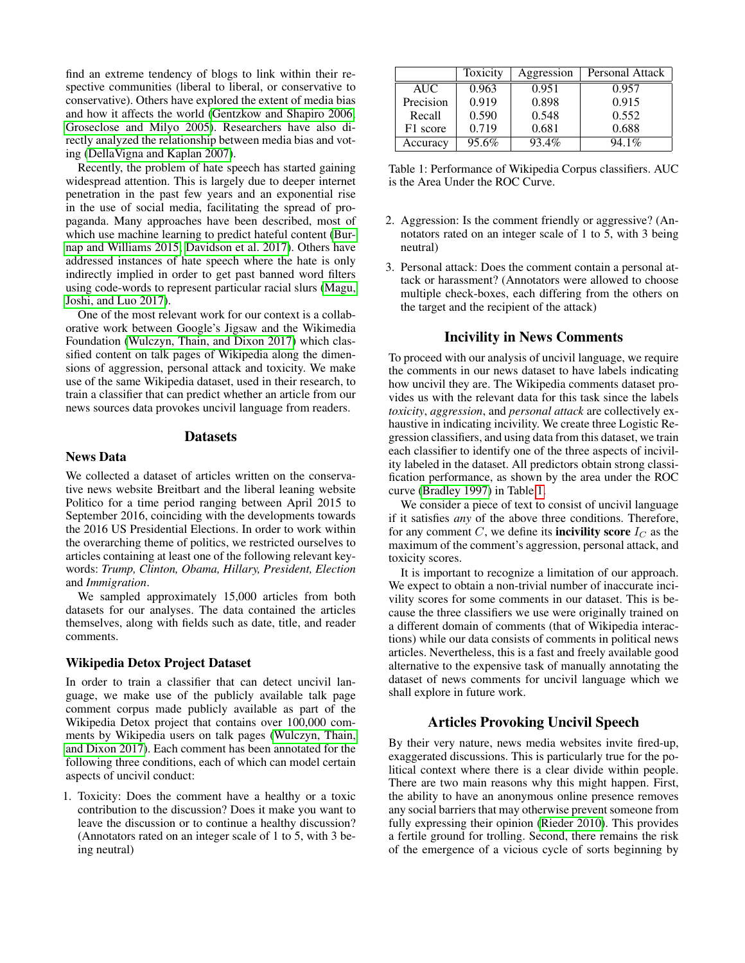find an extreme tendency of blogs to link within their respective communities (liberal to liberal, or conservative to conservative). Others have explored the extent of media bias and how it affects the world [\(Gentzkow and Shapiro 2006;](#page-4-4) [Groseclose and Milyo 2005\)](#page-4-5). Researchers have also directly analyzed the relationship between media bias and voting [\(DellaVigna and Kaplan 2007\)](#page-4-6).

Recently, the problem of hate speech has started gaining widespread attention. This is largely due to deeper internet penetration in the past few years and an exponential rise in the use of social media, facilitating the spread of propaganda. Many approaches have been described, most of which use machine learning to predict hateful content [\(Bur](#page-4-7)[nap and Williams 2015;](#page-4-7) [Davidson et al. 2017\)](#page-4-3). Others have addressed instances of hate speech where the hate is only indirectly implied in order to get past banned word filters using code-words to represent particular racial slurs [\(Magu,](#page-4-8) [Joshi, and Luo 2017\)](#page-4-8).

One of the most relevant work for our context is a collaborative work between Google's Jigsaw and the Wikimedia Foundation [\(Wulczyn, Thain, and Dixon 2017\)](#page-4-9) which classified content on talk pages of Wikipedia along the dimensions of aggression, personal attack and toxicity. We make use of the same Wikipedia dataset, used in their research, to train a classifier that can predict whether an article from our news sources data provokes uncivil language from readers.

### **Datasets**

# News Data

We collected a dataset of articles written on the conservative news website Breitbart and the liberal leaning website Politico for a time period ranging between April 2015 to September 2016, coinciding with the developments towards the 2016 US Presidential Elections. In order to work within the overarching theme of politics, we restricted ourselves to articles containing at least one of the following relevant keywords: *Trump, Clinton, Obama, Hillary, President, Election* and *Immigration*.

We sampled approximately 15,000 articles from both datasets for our analyses. The data contained the articles themselves, along with fields such as date, title, and reader comments.

#### Wikipedia Detox Project Dataset

In order to train a classifier that can detect uncivil language, we make use of the publicly available talk page comment corpus made publicly available as part of the Wikipedia Detox project that contains over 100,000 comments by Wikipedia users on talk pages [\(Wulczyn, Thain,](#page-4-9) [and Dixon 2017\)](#page-4-9). Each comment has been annotated for the following three conditions, each of which can model certain aspects of uncivil conduct:

1. Toxicity: Does the comment have a healthy or a toxic contribution to the discussion? Does it make you want to leave the discussion or to continue a healthy discussion? (Annotators rated on an integer scale of 1 to 5, with 3 being neutral)

|            | Toxicity | Aggression | Personal Attack |
|------------|----------|------------|-----------------|
| <b>AUC</b> | 0.963    | 0.951      | 0.957           |
| Precision  | 0.919    | 0.898      | 0.915           |
| Recall     | 0.590    | 0.548      | 0.552           |
| F1 score   | 0.719    | 0.681      | 0.688           |
| Accuracy   | 95.6%    | 93.4%      | $94.1\%$        |

<span id="page-1-0"></span>Table 1: Performance of Wikipedia Corpus classifiers. AUC is the Area Under the ROC Curve.

- 2. Aggression: Is the comment friendly or aggressive? (Annotators rated on an integer scale of 1 to 5, with 3 being neutral)
- 3. Personal attack: Does the comment contain a personal attack or harassment? (Annotators were allowed to choose multiple check-boxes, each differing from the others on the target and the recipient of the attack)

### Incivility in News Comments

To proceed with our analysis of uncivil language, we require the comments in our news dataset to have labels indicating how uncivil they are. The Wikipedia comments dataset provides us with the relevant data for this task since the labels *toxicity*, *aggression*, and *personal attack* are collectively exhaustive in indicating incivility. We create three Logistic Regression classifiers, and using data from this dataset, we train each classifier to identify one of the three aspects of incivility labeled in the dataset. All predictors obtain strong classification performance, as shown by the area under the ROC curve [\(Bradley 1997\)](#page-4-10) in Table [1.](#page-1-0)

We consider a piece of text to consist of uncivil language if it satisfies *any* of the above three conditions. Therefore, for any comment  $C$ , we define its **incivility score**  $I_C$  as the maximum of the comment's aggression, personal attack, and toxicity scores.

It is important to recognize a limitation of our approach. We expect to obtain a non-trivial number of inaccurate incivility scores for some comments in our dataset. This is because the three classifiers we use were originally trained on a different domain of comments (that of Wikipedia interactions) while our data consists of comments in political news articles. Nevertheless, this is a fast and freely available good alternative to the expensive task of manually annotating the dataset of news comments for uncivil language which we shall explore in future work.

# Articles Provoking Uncivil Speech

By their very nature, news media websites invite fired-up, exaggerated discussions. This is particularly true for the political context where there is a clear divide within people. There are two main reasons why this might happen. First, the ability to have an anonymous online presence removes any social barriers that may otherwise prevent someone from fully expressing their opinion [\(Rieder 2010\)](#page-4-11). This provides a fertile ground for trolling. Second, there remains the risk of the emergence of a vicious cycle of sorts beginning by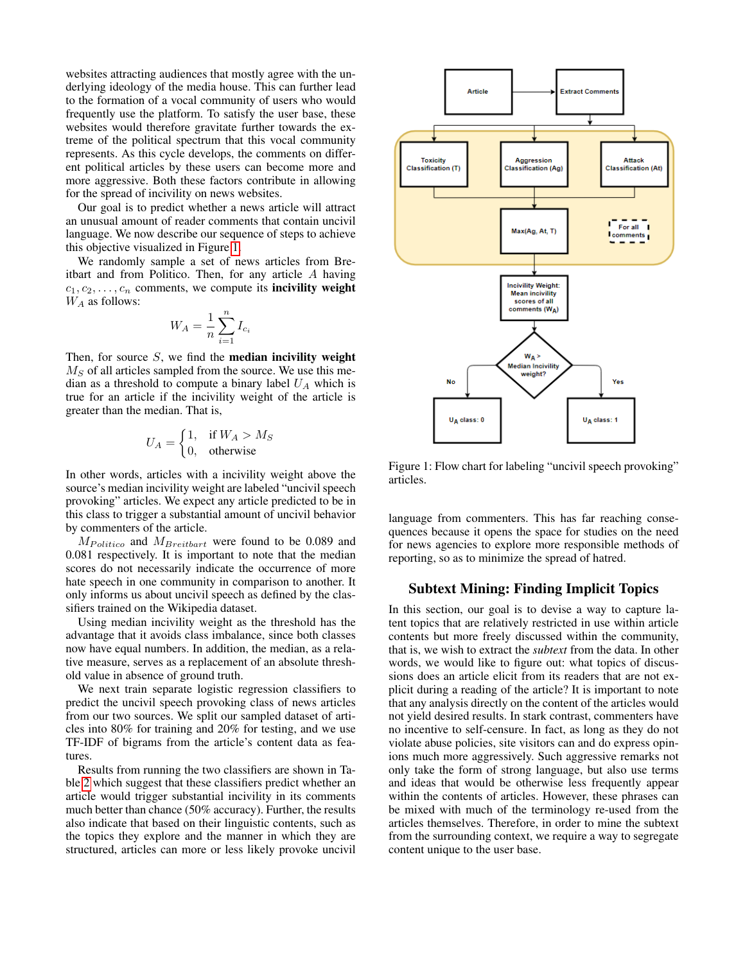websites attracting audiences that mostly agree with the underlying ideology of the media house. This can further lead to the formation of a vocal community of users who would frequently use the platform. To satisfy the user base, these websites would therefore gravitate further towards the extreme of the political spectrum that this vocal community represents. As this cycle develops, the comments on different political articles by these users can become more and more aggressive. Both these factors contribute in allowing for the spread of incivility on news websites.

Our goal is to predict whether a news article will attract an unusual amount of reader comments that contain uncivil language. We now describe our sequence of steps to achieve this objective visualized in Figure [1.](#page-2-0)

We randomly sample a set of news articles from Breitbart and from Politico. Then, for any article A having  $c_1, c_2, \ldots, c_n$  comments, we compute its **incivility weight**  $W_A$  as follows:

$$
W_A = \frac{1}{n} \sum_{i=1}^n I_{c_i}
$$

Then, for source  $S$ , we find the **median incivility weight**  $M<sub>S</sub>$  of all articles sampled from the source. We use this median as a threshold to compute a binary label  $U_A$  which is true for an article if the incivility weight of the article is greater than the median. That is,

$$
U_A = \begin{cases} 1, & \text{if } W_A > M_S \\ 0, & \text{otherwise} \end{cases}
$$

In other words, articles with a incivility weight above the source's median incivility weight are labeled "uncivil speech provoking" articles. We expect any article predicted to be in this class to trigger a substantial amount of uncivil behavior by commenters of the article.

 $M_{Politico}$  and  $M_{Breitbart}$  were found to be 0.089 and 0.081 respectively. It is important to note that the median scores do not necessarily indicate the occurrence of more hate speech in one community in comparison to another. It only informs us about uncivil speech as defined by the classifiers trained on the Wikipedia dataset.

Using median incivility weight as the threshold has the advantage that it avoids class imbalance, since both classes now have equal numbers. In addition, the median, as a relative measure, serves as a replacement of an absolute threshold value in absence of ground truth.

We next train separate logistic regression classifiers to predict the uncivil speech provoking class of news articles from our two sources. We split our sampled dataset of articles into 80% for training and 20% for testing, and we use TF-IDF of bigrams from the article's content data as features.

Results from running the two classifiers are shown in Table [2](#page-3-1) which suggest that these classifiers predict whether an article would trigger substantial incivility in its comments much better than chance (50% accuracy). Further, the results also indicate that based on their linguistic contents, such as the topics they explore and the manner in which they are structured, articles can more or less likely provoke uncivil



<span id="page-2-0"></span>Figure 1: Flow chart for labeling "uncivil speech provoking" articles.

language from commenters. This has far reaching consequences because it opens the space for studies on the need for news agencies to explore more responsible methods of reporting, so as to minimize the spread of hatred.

# Subtext Mining: Finding Implicit Topics

In this section, our goal is to devise a way to capture latent topics that are relatively restricted in use within article contents but more freely discussed within the community, that is, we wish to extract the *subtext* from the data. In other words, we would like to figure out: what topics of discussions does an article elicit from its readers that are not explicit during a reading of the article? It is important to note that any analysis directly on the content of the articles would not yield desired results. In stark contrast, commenters have no incentive to self-censure. In fact, as long as they do not violate abuse policies, site visitors can and do express opinions much more aggressively. Such aggressive remarks not only take the form of strong language, but also use terms and ideas that would be otherwise less frequently appear within the contents of articles. However, these phrases can be mixed with much of the terminology re-used from the articles themselves. Therefore, in order to mine the subtext from the surrounding context, we require a way to segregate content unique to the user base.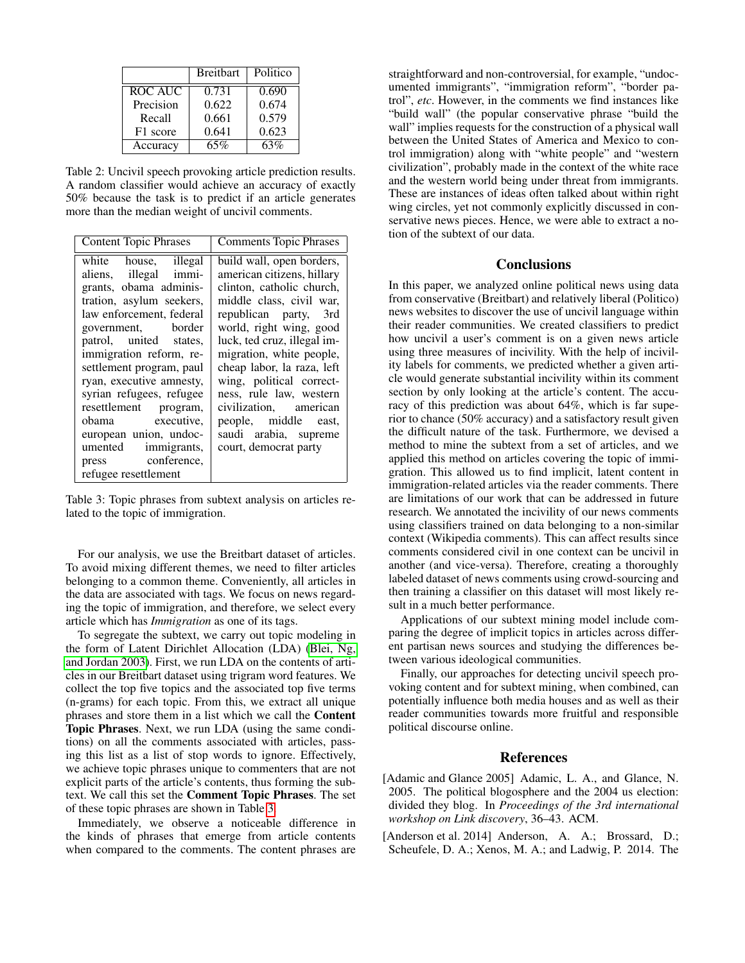|           | <b>Breitbart</b> | Politico |
|-----------|------------------|----------|
| ROC AUC   | 0.731            | 0.690    |
| Precision | 0.622            | 0.674    |
| Recall    | 0.661            | 0.579    |
| F1 score  | 0.641            | 0.623    |
| Accuracy  | 65%              | 63%      |

<span id="page-3-1"></span>Table 2: Uncivil speech provoking article prediction results. A random classifier would achieve an accuracy of exactly 50% because the task is to predict if an article generates more than the median weight of uncivil comments.

| white house, illegal<br>build wall, open borders,<br>american citizens, hillary<br>aliens, illegal immi-<br>grants, obama adminis-<br>clinton, catholic church,<br>tration, asylum seekers,<br>middle class, civil war,<br>law enforcement, federal<br>republican party, 3rd<br>world, right wing, good<br>government, border<br>luck, ted cruz, illegal im-<br>patrol, united states,<br>immigration reform, re-<br>migration, white people,<br>cheap labor, la raza, left<br>settlement program, paul<br>ryan, executive amnesty,<br>wing, political correct-<br>syrian refugees, refugee<br>ness, rule law, western<br>resettlement program,<br>civilization, american<br>obama executive,<br>people, middle east,<br>european union, undoc-<br>saudi arabia, supreme<br>umented immigrants,<br>court, democrat party<br>press conference, | <b>Content Topic Phrases</b> | <b>Comments Topic Phrases</b> |
|-----------------------------------------------------------------------------------------------------------------------------------------------------------------------------------------------------------------------------------------------------------------------------------------------------------------------------------------------------------------------------------------------------------------------------------------------------------------------------------------------------------------------------------------------------------------------------------------------------------------------------------------------------------------------------------------------------------------------------------------------------------------------------------------------------------------------------------------------|------------------------------|-------------------------------|
| refugee resettlement                                                                                                                                                                                                                                                                                                                                                                                                                                                                                                                                                                                                                                                                                                                                                                                                                          |                              |                               |

<span id="page-3-2"></span>Table 3: Topic phrases from subtext analysis on articles related to the topic of immigration.

For our analysis, we use the Breitbart dataset of articles. To avoid mixing different themes, we need to filter articles belonging to a common theme. Conveniently, all articles in the data are associated with tags. We focus on news regarding the topic of immigration, and therefore, we select every article which has *Immigration* as one of its tags.

To segregate the subtext, we carry out topic modeling in the form of Latent Dirichlet Allocation (LDA) [\(Blei, Ng,](#page-4-12) [and Jordan 2003\)](#page-4-12). First, we run LDA on the contents of articles in our Breitbart dataset using trigram word features. We collect the top five topics and the associated top five terms (n-grams) for each topic. From this, we extract all unique phrases and store them in a list which we call the Content Topic Phrases. Next, we run LDA (using the same conditions) on all the comments associated with articles, passing this list as a list of stop words to ignore. Effectively, we achieve topic phrases unique to commenters that are not explicit parts of the article's contents, thus forming the subtext. We call this set the Comment Topic Phrases. The set of these topic phrases are shown in Table [3.](#page-3-2)

Immediately, we observe a noticeable difference in the kinds of phrases that emerge from article contents when compared to the comments. The content phrases are

straightforward and non-controversial, for example, "undocumented immigrants", "immigration reform", "border patrol", *etc*. However, in the comments we find instances like "build wall" (the popular conservative phrase "build the wall" implies requests for the construction of a physical wall between the United States of America and Mexico to control immigration) along with "white people" and "western civilization", probably made in the context of the white race and the western world being under threat from immigrants. These are instances of ideas often talked about within right wing circles, yet not commonly explicitly discussed in conservative news pieces. Hence, we were able to extract a notion of the subtext of our data.

# **Conclusions**

In this paper, we analyzed online political news using data from conservative (Breitbart) and relatively liberal (Politico) news websites to discover the use of uncivil language within their reader communities. We created classifiers to predict how uncivil a user's comment is on a given news article using three measures of incivility. With the help of incivility labels for comments, we predicted whether a given article would generate substantial incivility within its comment section by only looking at the article's content. The accuracy of this prediction was about 64%, which is far superior to chance (50% accuracy) and a satisfactory result given the difficult nature of the task. Furthermore, we devised a method to mine the subtext from a set of articles, and we applied this method on articles covering the topic of immigration. This allowed us to find implicit, latent content in immigration-related articles via the reader comments. There are limitations of our work that can be addressed in future research. We annotated the incivility of our news comments using classifiers trained on data belonging to a non-similar context (Wikipedia comments). This can affect results since comments considered civil in one context can be uncivil in another (and vice-versa). Therefore, creating a thoroughly labeled dataset of news comments using crowd-sourcing and then training a classifier on this dataset will most likely result in a much better performance.

Applications of our subtext mining model include comparing the degree of implicit topics in articles across different partisan news sources and studying the differences between various ideological communities.

Finally, our approaches for detecting uncivil speech provoking content and for subtext mining, when combined, can potentially influence both media houses and as well as their reader communities towards more fruitful and responsible political discourse online.

### References

- [Adamic and Glance 2005] Adamic, L. A., and Glance, N. 2005. The political blogosphere and the 2004 us election: divided they blog. In *Proceedings of the 3rd international workshop on Link discovery*, 36–43. ACM.
- <span id="page-3-0"></span>[Anderson et al. 2014] Anderson, A. A.; Brossard, D.; Scheufele, D. A.; Xenos, M. A.; and Ladwig, P. 2014. The